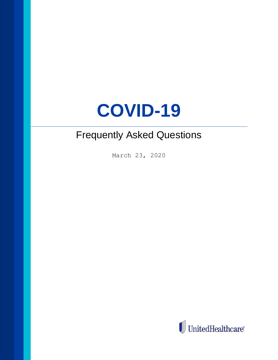# **COVID-19**

# Frequently Asked Questions

March 23, 2020

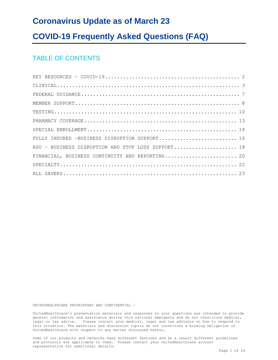# **Coronavirus Update as of March 23**

# **COVID-19 Frequently Asked Questions (FAQ)**

# TABLE OF CONTENTS

| FULLY INSURED -BUSINESS DISRUPTION SUPPORT 16      |
|----------------------------------------------------|
| ASO - BUSINESS DISRUPTION AND STOP LOSS SUPPORT 18 |
| FINANCIAL, BUSINESS CONTINUITY AND REPORTING 20    |
|                                                    |
|                                                    |

UNITEDHEALTHCARE PROPRIETARY AND CONFIDENTIAL -

UnitedHealthcare's presentation materials and responses to your questions are intended to provide general information and assistance during this national emergency and do not constitute medical, legal or tax advice. Please contact your medical, legal and tax advisors on how to respond to this situation. The materials and discussion topics do not constitute a binding obligation of UnitedHealthcare with respect to any matter discussed herein.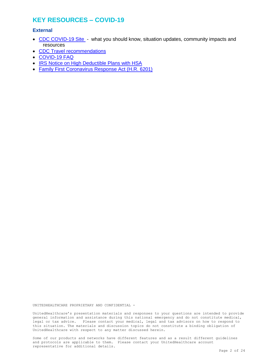# <span id="page-2-0"></span>**KEY RESOURCES – COVID-19**

#### **External**

- [CDC COVID-19 Site](https://www.cdc.gov/coronavirus/2019-nCoV/index.html)  what you should know, situation updates, community impacts and resources
- [CDC Travel recommendations](https://www.cdc.gov/coronavirus/2019-ncov/travelers/index.html?hpid=ec0df367-28c1-4e0e-9fe3-20521c31f849&hlkid=0d966159d56741d1a8616b32131d2c62&hctky=)
- [COVID-19 FAQ](https://www.uhc.com/)
- [IRS Notice on High Deductible Plans with HSA](https://www.irs.gov/pub/irs-drop/n-20-15.pdf)
- [Family First Coronavirus Response Act \(H.R. 6201\)](https://www.congress.gov/bill/116th-congress/house-bill/6201)

UNITEDHEALTHCARE PROPRIETARY AND CONFIDENTIAL -

UnitedHealthcare's presentation materials and responses to your questions are intended to provide general information and assistance during this national emergency and do not constitute medical, legal or tax advice. Please contact your medical, legal and tax advisors on how to respond to this situation. The materials and discussion topics do not constitute a binding obligation of UnitedHealthcare with respect to any matter discussed herein.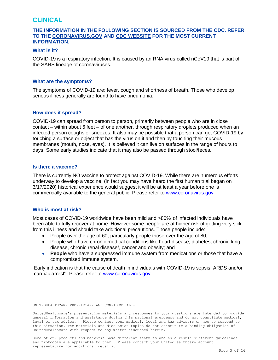## <span id="page-3-0"></span>**CLINICAL**

#### **THE INFORMATION IN THE FOLLOWING SECTION IS SOURCED FROM THE CDC. REFER TO THE [CORONAVIRUS.GOV](https://www.coronavirus.gov/) AND [CDC WEBSITE](https://www.cdc.gov/coronavirus/2019-nCoV/index.html) FOR THE MOST CURRENT INFORMATION.**

#### **What is it?**

COVID-19 is a respiratory infection. It is caused by an RNA virus called nCoV19 that is part of the SARS lineage of coronaviruses.

#### **What are the symptoms?**

The symptoms of COVID-19 are: fever, cough and shortness of breath. Those who develop serious illness generally are found to have pneumonia.

#### **How does it spread?**

COVID-19 can spread from person to person, primarily between people who are in close contact – within about 6 feet – of one another, through respiratory droplets produced when an infected person coughs or sneezes. It also may be possible that a person can get COVID-19 by touching a surface or object that has the virus on it and then by touching their mucous membranes (mouth, nose, eyes). It is believed it can live on surfaces in the range of hours to days. Some early studies indicate that it may also be passed through stool/feces.

#### **Is there a vaccine?**

There is currently NO vaccine to protect against COVID-19. While there are numerous efforts underway to develop a vaccine, (in fact you may have heard the first human trial began on 3/17/2020) historical experience would suggest it will be at least a year before one is commercially available to the general public. Please refer to [www.coronavirus.gov](http://www.coronavirus.gov/)

#### **Who is most at risk?**

Most cases of COVID-19 worldwide have been mild and >80% of infected individuals have been able to fully recover at home. However some people are at higher risk of getting very sick from this illness and should take additional precautions. Those people include:

- People over the age of 60, particularly people those over the age of 80;
- People who have chronic medical conditions like heart disease, diabetes, chronic lung disease, chronic renal disease<sup>ii</sup>, cancer and obesity; and
- **People** who have a suppressed immune system from medications or those that have a compromised immune system.

Early indication is that the cause of death in individuals with COVID-19 is sepsis, ARDS and/or cardiac arrest<sup>iii</sup>. Please refer to **www.coronavirus.gov** 

UNITEDHEALTHCARE PROPRIETARY AND CONFIDENTIAL -

UnitedHealthcare's presentation materials and responses to your questions are intended to provide general information and assistance during this national emergency and do not constitute medical, legal or tax advice. Please contact your medical, legal and tax advisors on how to respond to this situation. The materials and discussion topics do not constitute a binding obligation of UnitedHealthcare with respect to any matter discussed herein.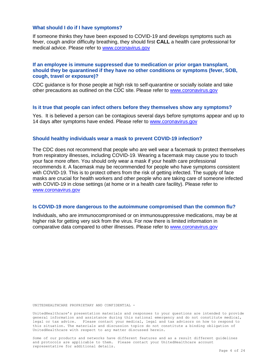#### **What should I do if I have symptoms?**

If someone thinks they have been exposed to COVID-19 and develops symptoms such as fever, cough and/or difficulty breathing, they should first **CALL** a health care professional for medical advice. Please refer to [www.coronavirus.gov](http://www.coronavirus.gov/)

#### **If an employee is immune suppressed due to medication or prior organ transplant, should they be quarantined if they have no other conditions or symptoms (fever, SOB, cough, travel or exposure)?**

CDC guidance is for those people at high risk to self-quarantine or socially isolate and take other precautions as outlined on the CDC site. Please refer to [www.coronavirus.gov](http://www.coronavirus.gov/)

#### **Is it true that people can infect others before they themselves show any symptoms?**

Yes. It is believed a person can be contagious several days before symptoms appear and up to 14 days after symptoms have ended. Please refer to [www.coronavirus.gov](http://www.coronavirus.gov/)

#### **Should healthy individuals wear a mask to prevent COVID-19 infection?**

The CDC does not recommend that people who are well wear a facemask to protect themselves from respiratory illnesses, including COVID-19. Wearing a facemask may cause you to touch your face more often. You should only wear a mask if your health care professional recommends it. A facemask may be recommended for people who have symptoms consistent with COVID-19. This is to protect others from the risk of getting infected. The supply of face masks are crucial for health workers and other people who are taking care of someone infected with COVID-19 in close settings (at home or in a health care facility). Please refer to [www.coronavirus.gov](http://www.coronavirus.gov/)

#### **Is COVID-19 more dangerous to the autoimmune compromised than the common flu?**

Individuals, who are immunocompromised or on immunosuppressive medications, may be at higher risk for getting very sick from the virus. For now there is limited information in comparative data compared to other illnesses. Please refer to [www.coronavirus.gov](http://www.coronavirus.gov/)

UNITEDHEALTHCARE PROPRIETARY AND CONFIDENTIAL -

UnitedHealthcare's presentation materials and responses to your questions are intended to provide general information and assistance during this national emergency and do not constitute medical, legal or tax advice. Please contact your medical, legal and tax advisors on how to respond to this situation. The materials and discussion topics do not constitute a binding obligation of UnitedHealthcare with respect to any matter discussed herein.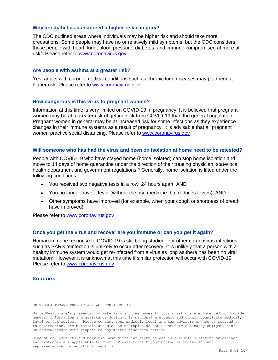#### **Why are diabetics considered a higher risk category?**

The CDC outlined areas where individuals may be higher risk and should take more precautions. Some people may have no or relatively mild symptoms, but the CDC considers those people with heart, lung, blood pressure, diabetes, and immune compromised at more at risk<sup>1</sup>. Please refer to **www.coronavirus.gov** 

#### **Are people with asthma at a greater risk?**

Yes, adults with chronic medical conditions such as chronic lung diseases may put them at higher risk. Please refer to [www.coronavirus.gov](http://www.coronavirus.gov/)

#### **How dangerous is this virus to pregnant women?**

Information at this time is very limited on COVID-19 in pregnancy. It is believed that pregnant women may be at a greater risk of getting sick from COVID-19 than the general population. Pregnant women in general may be at increased risk for some infections as they experience changes in their immune systems as a result of pregnancy. It is advisable that all pregnant women practice social distancing. Please refer to [www.coronavirus.gov](http://www.coronavirus.gov/)

#### **Will someone who has had the virus and been on isolation at home need to be retested?**

People with COVID-19 who have stayed home (home isolated) can stop home isolation and move to 14 days of home quarantine under the direction of their treating physician, state/local health department and government regulations.<sup>iv</sup> Generally, home isolation is lifted under the following conditions:

- You received two negative tests in a row, 24 hours apart. AND
- You no longer have a fever (without the use medicine that reduces fevers). AND
- Other symptoms have improved (for example, when your cough or shortness of breath have improved)

Please refer to [www.coronavirus.gov](http://www.coronavirus.gov/)

#### **Once you get the virus and recover are you immune or can you get it again?**

Human immune response to COVID-19 is still being studied. For other coronavirus infections such as SARS reinfection is unlikely to occur after recovery. It is unlikely that a person with a healthy immune system would get re-infected from a virus as long as there has been no viral mutation<sup>v</sup>. However it is unknown at this time if similar protection will occur with COVID-19. Please refer to [www.coronavirus.gov](http://www.coronavirus.gov/)

#### **Sources**

UNITEDHEALTHCARE PROPRIETARY AND CONFIDENTIAL -

UnitedHealthcare's presentation materials and responses to your questions are intended to provide general information and assistance during this national emergency and do not constitute medical, legal or tax advice. Please contact your medical, legal and tax advisors on how to respond to this situation. The materials and discussion topics do not constitute a binding obligation of UnitedHealthcare with respect to any matter discussed herein.

Some of our products and networks have different features and as a result different guidelines and protocols are applicable to them. Please contact your UnitedHealthcare account representative for additional details.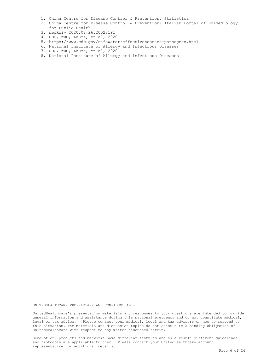- 1. China Centre for Disease Control & Prevention, Statistica
- 2. China Centre for Disease Control & Prevention, Italian Portal of Epidemiology for Public Health
- 3. medRxiv 2020.02.26.20028191
- 4. CDC, WHO, Laure, et.al, 2020
- 5. https://www.cdc.gov/safewater/effectiveness-on-pathogens.html
- 6. National Institute of Allergy and Infectious Diseases
- 7. CDC, WHO, Laure, et.al, 2020
- 8. National Institute of Allergy and Infectious Diseases

UNITEDHEALTHCARE PROPRIETARY AND CONFIDENTIAL -

UnitedHealthcare's presentation materials and responses to your questions are intended to provide general information and assistance during this national emergency and do not constitute medical, legal or tax advice. Please contact your medical, legal and tax advisors on how to respond to this situation. The materials and discussion topics do not constitute a binding obligation of UnitedHealthcare with respect to any matter discussed herein.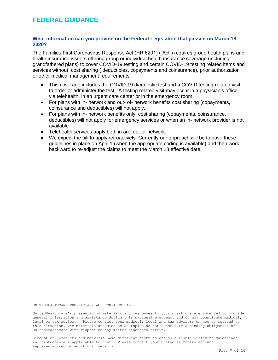## <span id="page-7-0"></span>**FEDERAL GUIDANCE**

#### **What information can you provide on the Federal Legislation that passed on March 18, 2020?**

The Families First Coronavirus Response Act (HR 6201) ("Act") requires group health plans and health insurance issuers offering group or individual health insurance coverage (including grandfathered plans) to cover COVID-19 testing and certain COVID-19 testing related items and services without cost sharing ( deductibles, copayments and coinsurance), prior authorization or other medical management requirements.

- This coverage includes the COVID-19 diagnostic test and a COVID testing-related visit to order or administer the test. A testing related visit may occur in a physician's office, via telehealth, in an urgent care center or in the emergency room.
- For plans with in- network and out- of- network benefits cost sharing (copayments, coinsurance and deductibles) will not apply.
- For plans with in- network benefits only, cost sharing (copayments, coinsurance, deductibles) will not apply for emergency services or when an in- network provider is not available.
- Telehealth services apply both in and out-of-network.
- We expect the bill to apply retroactively. Currently our approach will be to have these guidelines in place on April 1 (when the appropriate coding is available) and then work backward to re-adjust the claims to meet the March 18 effective date.

UNITEDHEALTHCARE PROPRIETARY AND CONFIDENTIAL -

UnitedHealthcare's presentation materials and responses to your questions are intended to provide general information and assistance during this national emergency and do not constitute medical, legal or tax advice. Please contact your medical, legal and tax advisors on how to respond to this situation. The materials and discussion topics do not constitute a binding obligation of UnitedHealthcare with respect to any matter discussed herein.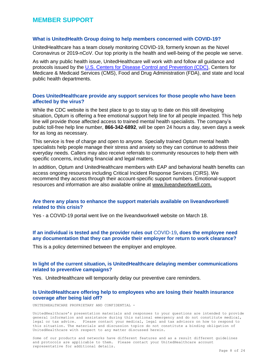## <span id="page-8-0"></span>**MEMBER SUPPORT**

#### **What is UnitedHealth Group doing to help members concerned with COVID-19?**

UnitedHealthcare has a team closely monitoring COVID-19, formerly known as the Novel Coronavirus or 2019-nCoV. Our top priority is the health and well-being of the people we serve.

As with any public health issue, UnitedHealthcare will work with and follow all guidance and protocols issued by the [U.S. Centers for Disease Control and Prevention \(CDC\),](https://www.cdc.gov/coronavirus/2019-ncov/about/index.html) Centers for Medicare & Medicaid Services (CMS), Food and Drug Administration (FDA), and state and local public health departments.

#### **Does UnitedHealthcare provide any support services for those people who have been affected by the virus?**

While the CDC website is the best place to go to stay up to date on this still developing situation, Optum is offering a free emotional support help line for all people impacted. This help line will provide those affected access to trained mental health specialists. The company's public toll-free help line number, **866-342-6892**, will be open 24 hours a day, seven days a week for as long as necessary.

This service is free of charge and open to anyone. Specially trained Optum mental health specialists help people manage their stress and anxiety so they can continue to address their everyday needs. Callers may also receive referrals to community resources to help them with specific concerns, including financial and legal matters.

In addition, Optum and UnitedHealthcare members with EAP and behavioral health benefits can access ongoing resources including Critical Incident Response Services (CIRS). We recommend they access through their account-specific support numbers. Emotional-support resources and information are also available online at [www.liveandworkwell.com.](https://urldefense.com/v3/__http:/www.liveandworkwell.com/__;!!Lywf0ypNYjE!Dd3bfIPw3oFE2776-Zskx83kge52yYwHKw2U5QNfGOzPZcZNBJG3MeX-ECqWokMd8_9h$)

#### **Are there any plans to enhance the support materials available on liveandworkwell related to this crisis?**

Yes - a COVID-19 portal went live on the liveandworkwell website on March 18.

#### **If an individual is tested and the provider rules out** COVID-19**, does the employee need any documentation that they can provide their employer for return to work clearance?**

This is a policy determined between the employer and employee.

#### **In light of the current situation, is UnitedHealthcare delaying member communications related to preventive campaigns?**

Yes. UnitedHealthcare will temporarily delay our preventive care reminders.

#### **Is UnitedHealthcare offering help to employees who are losing their health insurance coverage after being laid off?**

UNITEDHEALTHCARE PROPRIETARY AND CONFIDENTIAL -

UnitedHealthcare's presentation materials and responses to your questions are intended to provide general information and assistance during this national emergency and do not constitute medical, legal or tax advice. Please contact your medical, legal and tax advisors on how to respond to this situation. The materials and discussion topics do not constitute a binding obligation of UnitedHealthcare with respect to any matter discussed herein.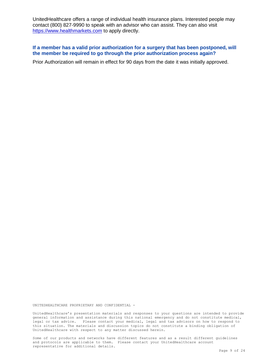UnitedHealthcare offers a range of individual health insurance plans. Interested people may contact (800) 827-9990 to speak with an advisor who can assist. They can also visit [https://www.healthmarkets.com](https://www.healthmarkets.com/) to apply directly.

#### **If a member has a valid prior authorization for a surgery that has been postponed, will the member be required to go through the prior authorization process again?**

Prior Authorization will remain in effect for 90 days from the date it was initially approved.

UNITEDHEALTHCARE PROPRIETARY AND CONFIDENTIAL -

UnitedHealthcare's presentation materials and responses to your questions are intended to provide general information and assistance during this national emergency and do not constitute medical, legal or tax advice. Please contact your medical, legal and tax advisors on how to respond to this situation. The materials and discussion topics do not constitute a binding obligation of UnitedHealthcare with respect to any matter discussed herein.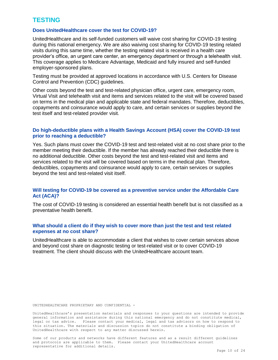# <span id="page-10-0"></span>**TESTING**

#### **Does UnitedHealthcare cover the test for COVID-19?**

UnitedHealthcare and its self-funded customers will waive cost sharing for COVID-19 testing during this national emergency. We are also waiving cost sharing for COVID-19 testing related visits during this same time, whether the testing related visit is received in a health care provider's office, an urgent care center, an emergency department or through a telehealth visit. This coverage applies to Medicare Advantage, Medicaid and fully insured and self-funded employer-sponsored plans.

Testing must be provided at approved locations in accordance with U.S. Centers for Disease Control and Prevention (CDC) guidelines.

Other costs beyond the test and test-related physician office, urgent care, emergency room, Virtual Visit and telehealth visit and items and services related to the visit will be covered based on terms in the medical plan and applicable state and federal mandates. Therefore, deductibles, copayments and coinsurance would apply to care, and certain services or supplies beyond the test itself and test-related provider visit.

#### **Do high-deductible plans with a Health Savings Account (HSA) cover the COVID-19 test prior to reaching a deductible?**

Yes. Such plans must cover the COVID-19 test and test-related visit at no cost share prior to the member meeting their deductible. If the member has already reached their deductible there is no additional deductible. Other costs beyond the test and test-related visit and items and services related to the visit will be covered based on terms in the medical plan. Therefore, deductibles, copayments and coinsurance would apply to care, certain services or supplies beyond the test and test-related visit itself.

#### **Will testing for COVID-19 be covered as a preventive service under the Affordable Care Act (ACA)?**

The cost of COVID-19 testing is considered an essential health benefit but is not classified as a preventative health benefit.

#### **What should a client do if they wish to cover more than just the test and test related expenses at no cost share?**

UnitedHealthcare is able to accommodate a client that wishes to cover certain services above and beyond cost share on diagnostic testing or test-related visit or to cover COVID-19 treatment. The client should discuss with the UnitedHealthcare account team.

UNITEDHEALTHCARE PROPRIETARY AND CONFIDENTIAL -

UnitedHealthcare's presentation materials and responses to your questions are intended to provide general information and assistance during this national emergency and do not constitute medical, legal or tax advice. Please contact your medical, legal and tax advisors on how to respond to this situation. The materials and discussion topics do not constitute a binding obligation of UnitedHealthcare with respect to any matter discussed herein.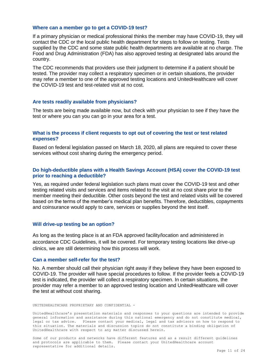#### **Where can a member go to get a COVID-19 test?**

If a primary physician or medical professional thinks the member may have COVID-19, they will contact the CDC or the local public health department for steps to follow on testing. Tests supplied by the CDC and some state public health departments are available at no charge. The Food and Drug Administration (FDA) has also approved testing at designated labs around the country.

The CDC recommends that providers use their judgment to determine if a patient should be tested. The provider may collect a respiratory specimen or in certain situations, the provider may refer a member to one of the approved testing locations and UnitedHealthcare will cover the COVID-19 test and test-related visit at no cost.

#### **Are tests readily available from physicians?**

The tests are being made available now, but check with your physician to see if they have the test or where you can you can go in your area for a test.

#### **What is the process if client requests to opt out of covering the test or test related expenses?**

Based on federal legislation passed on March 18, 2020, all plans are required to cover these services without cost sharing during the emergency period.

#### **Do high-deductible plans with a Health Savings Account (HSA) cover the COVID-19 test prior to reaching a deductible?**

Yes, as required under federal legislation such plans must cover the COVID-19 test and other testing related visits and services and items related to the visit at no cost share prior to the member meeting their deductible. Other costs beyond the test and related visits will be covered based on the terms of the member's medical plan benefits. Therefore, deductibles, copayments and coinsurance would apply to care, services or supplies beyond the test itself.

#### **Will drive-up testing be an option?**

As long as the testing place is at an FDA approved facility/location and administered in accordance CDC Guidelines, it will be covered. For temporary testing locations like drive-up clinics, we are still determining how this process will work.

#### **Can a member self-refer for the test?**

No. A member should call their physician right away if they believe they have been exposed to COVID-19. The provider will have special procedures to follow. If the provider feels a COVID-19 test is indicated, the provider will collect a respiratory specimen. In certain situations, the provider may refer a member to an approved testing location and UnitedHealthcare will cover the test at without cost sharing.

UNITEDHEALTHCARE PROPRIETARY AND CONFIDENTIAL -

UnitedHealthcare's presentation materials and responses to your questions are intended to provide general information and assistance during this national emergency and do not constitute medical, legal or tax advice. Please contact your medical, legal and tax advisors on how to respond to this situation. The materials and discussion topics do not constitute a binding obligation of UnitedHealthcare with respect to any matter discussed herein.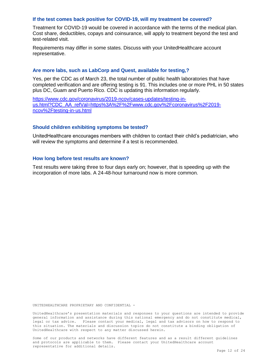#### **If the test comes back positive for COVID-19, will my treatment be covered?**

Treatment for COVID-19 would be covered in accordance with the terms of the medical plan. Cost share, deductibles, copays and coinsurance, will apply to treatment beyond the test and test-related visit.

Requirements may differ in some states. Discuss with your UnitedHealthcare account representative.

#### **Are more labs, such as LabCorp and Quest, available for testing,?**

Yes, per the CDC as of March 23, the total number of public health laboratories that have completed verification and are offering testing is 91. This includes one or more PHL in 50 states plus DC, Guam and Puerto Rico. CDC is updating this information regularly.

[https://www.cdc.gov/coronavirus/2019-ncov/cases-updates/testing-in](https://www.cdc.gov/coronavirus/2019-ncov/cases-updates/testing-in-us.html?CDC_AA_refVal=https%3A%2F%2Fwww.cdc.gov%2Fcoronavirus%2F2019-ncov%2Ftesting-in-us.html)[us.html?CDC\\_AA\\_refVal=https%3A%2F%2Fwww.cdc.gov%2Fcoronavirus%2F2019](https://www.cdc.gov/coronavirus/2019-ncov/cases-updates/testing-in-us.html?CDC_AA_refVal=https%3A%2F%2Fwww.cdc.gov%2Fcoronavirus%2F2019-ncov%2Ftesting-in-us.html) [ncov%2Ftesting-in-us.html](https://www.cdc.gov/coronavirus/2019-ncov/cases-updates/testing-in-us.html?CDC_AA_refVal=https%3A%2F%2Fwww.cdc.gov%2Fcoronavirus%2F2019-ncov%2Ftesting-in-us.html)

#### **Should children exhibiting symptoms be tested?**

UnitedHealthcare encourages members with children to contact their child's pediatrician, who will review the symptoms and determine if a test is recommended.

#### **How long before test results are known?**

Test results were taking three to four days early on; however, that is speeding up with the incorporation of more labs. A 24-48-hour turnaround now is more common.

UNITEDHEALTHCARE PROPRIETARY AND CONFIDENTIAL -

UnitedHealthcare's presentation materials and responses to your questions are intended to provide general information and assistance during this national emergency and do not constitute medical, legal or tax advice. Please contact your medical, legal and tax advisors on how to respond to this situation. The materials and discussion topics do not constitute a binding obligation of UnitedHealthcare with respect to any matter discussed herein.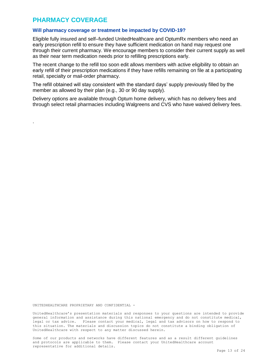# <span id="page-13-0"></span>**PHARMACY COVERAGE**

.

#### **Will pharmacy coverage or treatment be impacted by COVID-19?**

Eligible fully insured and self–funded UnitedHealthcare and OptumRx members who need an early prescription refill to ensure they have sufficient medication on hand may request one through their current pharmacy. We encourage members to consider their current supply as well as their near term medication needs prior to refilling prescriptions early.

The recent change to the refill too soon edit allows members with active eligibility to obtain an early refill of their prescription medications if they have refills remaining on file at a participating retail, specialty or mail-order pharmacy.

The refill obtained will stay consistent with the standard days' supply previously filled by the member as allowed by their plan (e.g., 30 or 90 day supply).

Delivery options are available through Optum home delivery, which has no delivery fees and through select retail pharmacies including Walgreens and CVS who have waived delivery fees.

UNITEDHEALTHCARE PROPRIETARY AND CONFIDENTIAL -

UnitedHealthcare's presentation materials and responses to your questions are intended to provide general information and assistance during this national emergency and do not constitute medical, legal or tax advice. Please contact your medical, legal and tax advisors on how to respond to this situation. The materials and discussion topics do not constitute a binding obligation of UnitedHealthcare with respect to any matter discussed herein.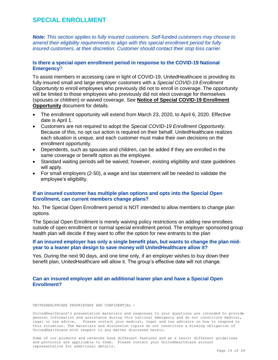# <span id="page-14-0"></span>**SPECIAL ENROLLMENT**

*Note: This section applies to fully insured customers. Self-funded customers may choose to amend their eligibility requirements to align with this special enrollment period for fully insured customers, at their discretion. Customer should contact their stop loss carrier.*

#### **Is there a special open enrollment period in response to the COVID-19 National Emergency**?

To assist members in accessing care in light of COVID-19, UnitedHealthcare is providing its fully-insured small and large employer customers with a *Special COVID-19 Enrollment Opportunity* to enroll employees who previously did not to enroll in coverage. The opportunity will be limited to those employees who previously did not elect coverage for themselves (spouses or children) or waived coverage. See **Notice of Special COVID-19 Enrollment Opportunity** document for details.

- The enrollment opportunity will extend from March 23, 2020, to April 6, 2020. Effective date is April 1.
- Customers are not required to adopt the *Special COVID-19 Enrollment Opportunity*. Because of this, no opt out action is required on their behalf. UnitedHealthcare realizes each situation is unique, and each customer must make their own decisions on the enrollment opportunity.
- Dependents, such as spouses and children, can be added if they are enrolled in the same coverage or benefit option as the employee.
- Standard waiting periods will be waived; however, existing eligibility and state guidelines will apply.
- For small employers (2-50), a wage and tax statement will be needed to validate the employee's eligibility.

#### **If an insured customer has multiple plan options and opts into the Special Open Enrollment, can current members change plans?**

No. The Special Open Enrollment period is NOT intended to allow members to change plan options.

The Special Open Enrollment is merely waiving policy restrictions on adding new enrollees outside of open enrollment or normal special enrollment period. The employer sponsored group health plan will decide if they want to offer the option for new entrants to the plan

#### **If an insured employer has only a single benefit plan, but wants to change the plan midyear to a leaner plan design to save money will UnitedHealthcare allow it?**

Yes. During the next 90 days, and one time only, if an employer wishes to buy down their benefit plan, UnitedHealthcare will allow it. The group's effective date will not change.

#### **Can an insured employer add an additional leaner plan and have a Special Open Enrollment?**

UNITEDHEALTHCARE PROPRIETARY AND CONFIDENTIAL -

UnitedHealthcare's presentation materials and responses to your questions are intended to provide general information and assistance during this national emergency and do not constitute medical, legal or tax advice. Please contact your medical, legal and tax advisors on how to respond to this situation. The materials and discussion topics do not constitute a binding obligation of UnitedHealthcare with respect to any matter discussed herein.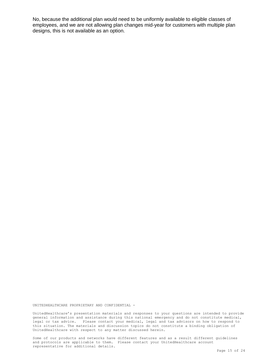No, because the additional plan would need to be uniformly available to eligible classes of employees, and we are not allowing plan changes mid-year for customers with multiple plan designs, this is not available as an option.

UNITEDHEALTHCARE PROPRIETARY AND CONFIDENTIAL -

UnitedHealthcare's presentation materials and responses to your questions are intended to provide general information and assistance during this national emergency and do not constitute medical, legal or tax advice. Please contact your medical, legal and tax advisors on how to respond to this situation. The materials and discussion topics do not constitute a binding obligation of UnitedHealthcare with respect to any matter discussed herein.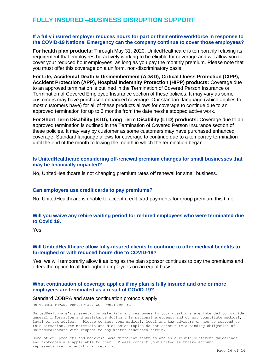# <span id="page-16-0"></span>**FULLY INSURED –BUSINESS DISRUPTION SUPPORT**

#### **If a fully insured employer reduces hours for part or their entire workforce in response to the COVID-19 National Emergency can the company continue to cover those employees?**

**For health plan products:** Through May 31, 2020, UnitedHealthcare is temporarily relaxing its requirement that employees be actively working to be eligible for coverage and will allow you to cover your reduced hour employees, as long as you pay the monthly premium. Please note that you must offer this coverage on a uniform, non-discriminatory basis.

**For Life, Accidental Death & Dismemberment (AD&D), Critical Illness Protection (CIPP), Accident Protection (APP), Hospital Indemnity Protection (HIPP) products:** Coverage due to an approved termination is outlined in the Termination of Covered Person Insurance or Termination of Covered Employee Insurance section of these policies. It may vary as some customers may have purchased enhanced coverage. Our standard language (which applies to most customers have) for all of these products allows for coverage to continue due to an approved termination for up to 3 months from the date he/she stopped active work.

**For Short Term Disability (STD), Long Term Disability (LTD) products:** Coverage due to an approved termination is outlined in the Termination of Covered Person Insurance section of these policies. It may vary by customer as some customers may have purchased enhanced coverage. Standard language allows for coverage to continue due to a temporary termination until the end of the month following the month in which the termination began.

#### **Is UnitedHealthcare considering off-renewal premium changes for small businesses that may be financially impacted?**

No, UnitedHealthcare is not changing premium rates off renewal for small business.

#### **Can employers use credit cards to pay premiums?**

No, UnitedHealthcare is unable to accept credit card payments for group premium this time.

#### **Will you waive any rehire waiting period for re-hired employees who were terminated due to Covid 19.**

Yes.

#### **Will UnitedHealthcare allow fully-insured clients to continue to offer medical benefits to furloughed or with reduced hours due to COVID-19?**

Yes, we will temporarily allow it as long as the plan sponsor continues to pay the premiums and offers the option to all furloughed employees on an equal basis.

#### **What continuation of coverage applies if my plan is fully insured and one or more employees are terminated as a result of COVID-19?**

#### Standard COBRA and state continuation protocols apply.

UNITEDHEALTHCARE PROPRIETARY AND CONFIDENTIAL -

UnitedHealthcare's presentation materials and responses to your questions are intended to provide general information and assistance during this national emergency and do not constitute medical, legal or tax advice. Please contact your medical, legal and tax advisors on how to respond to this situation. The materials and discussion topics do not constitute a binding obligation of UnitedHealthcare with respect to any matter discussed herein.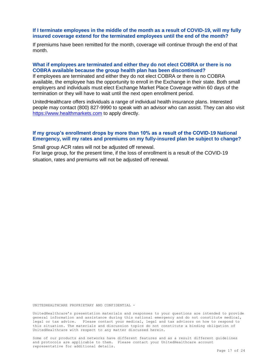#### **If I terminate employees in the middle of the month as a result of COVID-19, will my fully insured coverage extend for the terminated employees until the end of the month?**

If premiums have been remitted for the month, coverage will continue through the end of that month.

#### **What if employees are terminated and either they do not elect COBRA or there is no COBRA available because the group health plan has been discontinued?**

If employees are terminated and either they do not elect COBRA or there is no COBRA available, the employee has the opportunity to enroll in the Exchange in their state. Both small employers and individuals must elect Exchange Market Place Coverage within 60 days of the termination or they will have to wait until the next open enrollment period.

UnitedHealthcare offers individuals a range of individual health insurance plans. Interested people may contact (800) 827-9990 to speak with an advisor who can assist. They can also visit [https://www.healthmarkets.com](https://www.healthmarkets.com/) to apply directly.

#### **If my group's enrollment drops by more than 10% as a result of the COVID-19 National Emergency, will my rates and premiums on my fully-insured plan be subject to change?**

Small group ACR rates will not be adjusted off renewal.

For large group, for the present time, if the loss of enrollment is a result of the COVID-19 situation, rates and premiums will not be adjusted off renewal.

UNITEDHEALTHCARE PROPRIETARY AND CONFIDENTIAL -

UnitedHealthcare's presentation materials and responses to your questions are intended to provide general information and assistance during this national emergency and do not constitute medical, legal or tax advice. Please contact your medical, legal and tax advisors on how to respond to this situation. The materials and discussion topics do not constitute a binding obligation of UnitedHealthcare with respect to any matter discussed herein.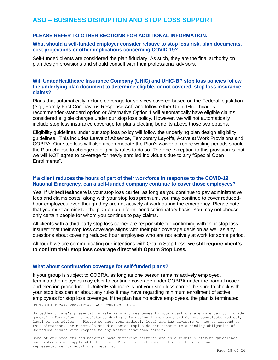# <span id="page-18-0"></span>**ASO – BUSINESS DISRUPTION AND STOP LOSS SUPPORT**

#### **PLEASE REFER TO OTHER SECTIONS FOR ADDITIONAL INFORMATION.**

#### **What should a self-funded employer consider relative to stop loss risk, plan documents, cost projections or other implications concerning COVID-19?**

Self-funded clients are considered the plan fiduciary. As such, they are the final authority on plan design provisions and should consult with their professional advisors.

#### **Will UnitedHealthcare Insurance Company (UHIC) and UHIC-BP stop loss policies follow the underlying plan document to determine eligible, or not covered, stop loss insurance claims?**

Plans that automatically include coverage for services covered based on the Federal legislation (e.g., Family First Coronavirus Response Act) and follow either UnitedHealthcare's recommended-standard option or Alternative Option 1 will automatically have eligible claims considered eligible charges under our stop loss policy. However, we will not automatically include stop loss insurance coverage for plans electing benefits above those two options.

Eligibility guidelines under our stop loss policy will follow the underlying plan design eligibility guidelines. This includes Leave of Absence, Temporary Layoffs, Active at Work Provisions and COBRA. Our stop loss will also accommodate the Plan's waiver of rehire waiting periods should the Plan choose to change its eligibility rules to do so. The one exception to this provision is that we will NOT agree to coverage for newly enrolled individuals due to any "Special Open Enrollments".

#### **If a client reduces the hours of part of their workforce in response to the COVID-19 National Emergency, can a self-funded company continue to cover those employees?**

Yes. If UnitedHealthcare is your stop loss carrier, as long as you continue to pay administrative fees and claims costs, along with your stop loss premium, you may continue to cover reducedhour employees even though they are not actively at work during the emergency. Please note that you must administer the plan on a uniform, nondiscriminatory basis. You may not choose only certain people for whom you continue to pay claims.

All clients with a third party stop loss carrier are responsible for confirming with their stop loss insurer\* that their stop loss coverage aligns with their plan coverage decision as well as any questions about covering reduced hour employees who are not actively at work for some period.

Although we are communicating our intentions with Optum Stop Loss, **we still require client's to confirm their stop loss coverage direct with Optum Stop Loss.** 

#### **What about continuation coverage for self-funded plans?**

If your group is subject to COBRA, as long as one person remains actively employed, terminated employees may elect to continue coverage under COBRA under the normal notice and election procedure. If UnitedHealthcare is not your stop loss carrier, be sure to check with your stop loss carrier about any rules it may have regarding minimum enrollment of active employees for stop loss coverage. If the plan has no active employees, the plan is terminated

UNITEDHEALTHCARE PROPRIETARY AND CONFIDENTIAL -

UnitedHealthcare's presentation materials and responses to your questions are intended to provide general information and assistance during this national emergency and do not constitute medical, legal or tax advice. Please contact your medical, legal and tax advisors on how to respond to this situation. The materials and discussion topics do not constitute a binding obligation of UnitedHealthcare with respect to any matter discussed herein.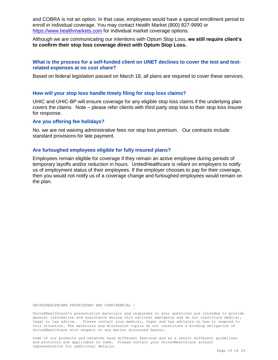and COBRA is not an option. In that case, employees would have a special enrollment period to enroll in individual coverage. You may contact Health Market (800) 827-9990 or [https://www.healthmarkets.com](https://www.healthmarkets.com/) for individual market coverage options.

Although we are communicating our intentions with Optum Stop Loss, **we still require client's to confirm their stop loss coverage direct with Optum Stop Loss.** 

#### **What is the process for a self-funded client on UNET declines to cover the test and testrelated expenses at no cost share?**

Based on federal legislation passed on March 18, all plans are required to cover these services.

#### **How will your stop loss handle timely filing for stop loss claims?**

UHIC and UHIC-BP will ensure coverage for any eligible stop loss claims if the underlying plan covers the claims. Note – please refer clients with third party stop loss to their stop loss insurer for response.

#### **Are you offering fee holidays?**

No, we are not waiving administrative fees nor stop loss premium. Our contracts include standard provisions for late payment.

#### **Are furloughed employees eligible for fully insured plans?**

Employees remain eligible for coverage if they remain an active employee during periods of temporary layoffs and/or reduction in hours. UnitedHealthcare is reliant on employers to notify us of employment status of their employees. If the employer chooses to pay for their coverage, then you would not notify us of a coverage change and furloughed employees would remain on the plan.

UNITEDHEALTHCARE PROPRIETARY AND CONFIDENTIAL -

UnitedHealthcare's presentation materials and responses to your questions are intended to provide general information and assistance during this national emergency and do not constitute medical, legal or tax advice. Please contact your medical, legal and tax advisors on how to respond to this situation. The materials and discussion topics do not constitute a binding obligation of UnitedHealthcare with respect to any matter discussed herein.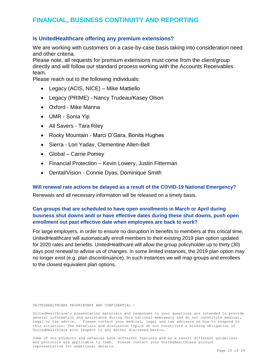# <span id="page-20-0"></span>**FINANCIAL, BUSINESS CONTINUITY AND REPORTING**

#### **Is UnitedHealthcare offering any premium extensions?**

We are working with customers on a case-by-case basis taking into consideration need and other criteria.

Please note, all requests for premium extensions must come from the client/group directly and will follow our standard process working with the Accounts Receivables team.

Please reach out to the following individuals:

- Legacy (ACIS, NICE) Mike Mattiello
- Legacy (PRIME) Nancy Trudeau/Kasey Olson
- Oxford Mike Manna
- UMR Sonia Yip
- All Savers Tara Riley
- Rocky Mountain Marci O'Gara, Bonita Hughes
- Sierra Lori Yadav, Clementine Allen-Bell
- Global Carrie Pomey
- Financial Protection Kevin Lowery, Justin Fitterman
- Dental/Vision Connie Dyas, Dominique Smith

#### **Will renewal rate actions be delayed as a result of the COVID-19 National Emergency?**

Renewals and all necessary information will be released on a timely basis.

#### **Can groups that are scheduled to have open enrollments in March or April during business shut downs and/ or have effective dates during these shut downs, push open enrollment out past effective date when employees are back to work?**

For large employers, in order to ensure no disruption in benefits to members at this critical time, UnitedHealthcare will automatically enroll members to their existing 2019 plan option updated for 2020 rates and benefits. UnitedHealthcare will allow the group policyholder up to thirty (30) days post renewal to advise us of changes. In some limited instances, the 2019 plan option may no longer exist (e.g. plan discontinuance). In such instances we will map groups and enrollees to the closest equivalent plan options.

UNITEDHEALTHCARE PROPRIETARY AND CONFIDENTIAL -

UnitedHealthcare's presentation materials and responses to your questions are intended to provide general information and assistance during this national emergency and do not constitute medical, legal or tax advice. Please contact your medical, legal and tax advisors on how to respond to this situation. The materials and discussion topics do not constitute a binding obligation of UnitedHealthcare with respect to any matter discussed herein.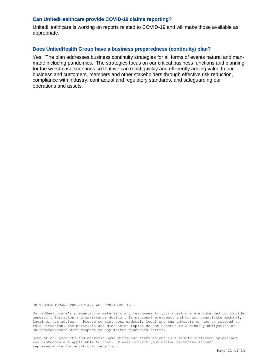#### **Can UnitedHealthcare provide COVID-19 claims reporting?**

UnitedHealthcare is working on reports related to COVID-19 and will make those available as appropriate.

#### **Does UnitedHealth Group have a business preparedness (continuity) plan?**

Yes. The plan addresses business continuity strategies for all forms of events natural and manmade including pandemics. The strategies focus on our critical business functions and planning for the worst-case scenarios so that we can react quickly and efficiently adding value to our business and customers, members and other stakeholders through effective risk reduction, compliance with industry, contractual and regulatory standards, and safeguarding our operations and assets.

UNITEDHEALTHCARE PROPRIETARY AND CONFIDENTIAL -

UnitedHealthcare's presentation materials and responses to your questions are intended to provide general information and assistance during this national emergency and do not constitute medical, legal or tax advice. Please contact your medical, legal and tax advisors on how to respond to this situation. The materials and discussion topics do not constitute a binding obligation of UnitedHealthcare with respect to any matter discussed herein.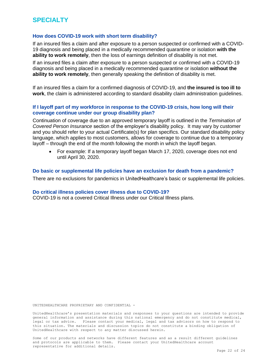#### <span id="page-22-0"></span>**How does COVID-19 work with short term disability?**

If an insured files a claim and after exposure to a person suspected or confirmed with a COVID-19 diagnosis and being placed in a medically recommended quarantine or isolation **with the ability to work remotely**, then the loss of earnings definition of disability is not met.

If an insured files a claim after exposure to a person suspected or confirmed with a COVID-19 diagnosis and being placed in a medically recommended quarantine or isolation **without the ability to work remotely**, then generally speaking the definition of disability is met.

If an insured files a claim for a confirmed diagnosis of COVID-19, and **the insured is too ill to work**, the claim is administered according to standard disability claim administration guidelines.

#### **If I layoff part of my workforce in response to the COVID-19 crisis, how long will their coverage continue under our group disability plan?**

Continuation of coverage due to an approved temporary layoff is outlined in the *Termination of Covered Person Insurance* section of the employer's disability policy. It may vary by customer and you should refer to your actual Certificate(s) for plan specifics. Our standard disability policy language, which applies to most customers, allows for coverage to continue due to a temporary layoff – through the end of the month following the month in which the layoff began.

 For example: If a temporary layoff began March 17, 2020, coverage does not end until April 30, 2020.

#### **Do basic or supplemental life policies have an exclusion for death from a pandemic?**

There are no exclusions for pandemics in UnitedHealthcare's basic or supplemental life policies.

#### **Do critical illness policies cover illness due to COVID-19?**

COVID-19 is not a covered Critical Illness under our Critical Illness plans.

UNITEDHEALTHCARE PROPRIETARY AND CONFIDENTIAL -

UnitedHealthcare's presentation materials and responses to your questions are intended to provide general information and assistance during this national emergency and do not constitute medical, legal or tax advice. Please contact your medical, legal and tax advisors on how to respond to this situation. The materials and discussion topics do not constitute a binding obligation of UnitedHealthcare with respect to any matter discussed herein.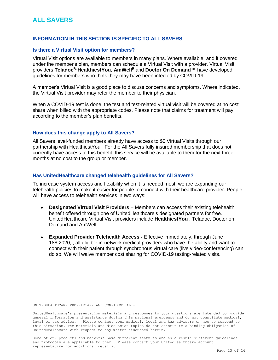# <span id="page-23-0"></span>**ALL SAVERS**

#### **INFORMATION IN THIS SECTION IS SPECIFIC TO ALL SAVERS.**

#### **Is there a Virtual Visit option for members?**

Virtual Visit options are available to members in many plans. Where available, and if covered under the member's plan, members can schedule a Virtual Visit with a provider. Virtual Visit providers **TeladocR, HealthiestYou**, **AmWell<sup>R</sup>** and **Doctor On Demand™** have developed guidelines for members who think they may have been infected by COVID-19.

A member's Virtual Visit is a good place to discuss concerns and symptoms. Where indicated, the Virtual Visit provider may refer the member to their physician.

When a COVID-19 test is done, the test and test-related virtual visit will be covered at no cost share when billed with the appropriate codes. Please note that claims for treatment will pay according to the member's plan benefits.

#### **How does this change apply to All Savers?**

All Savers level-funded members already have access to \$0 Virtual Visits through our partnership with HealthiestYou. For the All Savers fully insured membership that does not currently have access to this benefit, this service will be available to them for the next three months at no cost to the group or member.

#### **Has UnitedHealthcare changed telehealth guidelines for All Savers?**

To increase system access and flexibility when it is needed most, we are expanding our telehealth policies to make it easier for people to connect with their healthcare provider. People will have access to telehealth services in two ways:

- **Designated Virtual Visit Providers** Members can access their existing telehealth benefit offered through one of UnitedHealthcare's designated partners for free. UnitedHealthcare Virtual Visit providers include **HealthiestYou** , Teladoc, Doctor on Demand and AmWell,
- **Expanded Provider Telehealth Access -** Effective immediately, through June 188,2020, , all eligible in-network medical providers who have the ability and want to connect with their patient through synchronous virtual care (live video-conferencing) can do so. We will waive member cost sharing for COVID-19 testing-related visits.

UNITEDHEALTHCARE PROPRIETARY AND CONFIDENTIAL -

UnitedHealthcare's presentation materials and responses to your questions are intended to provide general information and assistance during this national emergency and do not constitute medical, legal or tax advice. Please contact your medical, legal and tax advisors on how to respond to this situation. The materials and discussion topics do not constitute a binding obligation of UnitedHealthcare with respect to any matter discussed herein.